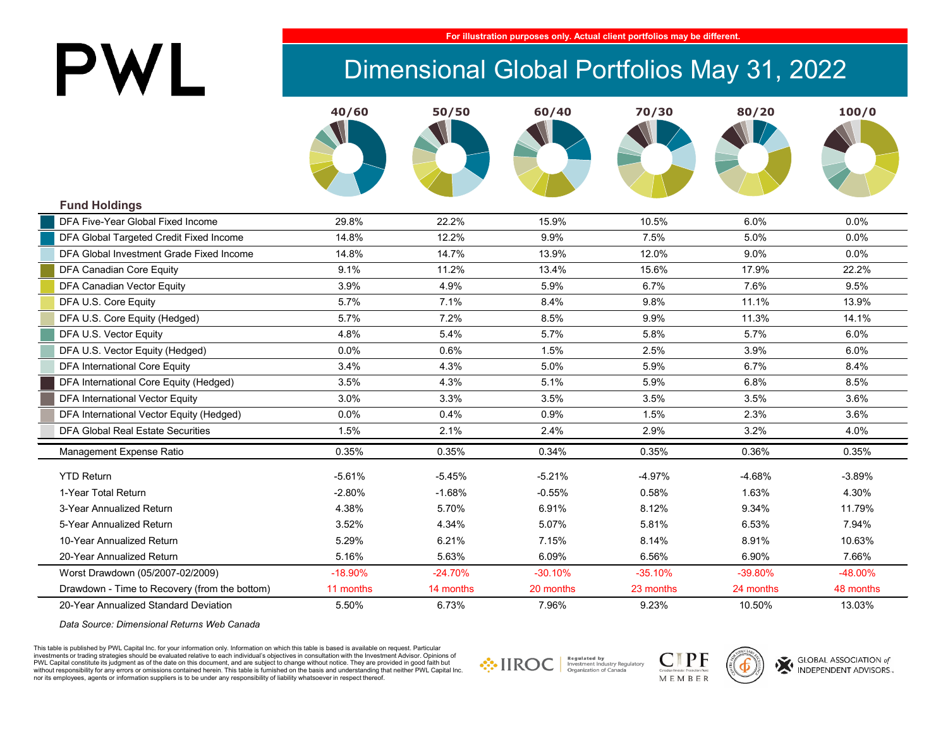# PWL

#### **For illustration purposes only. Actual client portfolios may be different.**

## Dimensional Global Portfolios May 31, 2022

|                                               | 40/60     | 50/50     | 60/40     | 70/30     | 80/20     | 100/0     |
|-----------------------------------------------|-----------|-----------|-----------|-----------|-----------|-----------|
|                                               |           |           |           |           |           |           |
|                                               |           |           |           |           |           |           |
| <b>Fund Holdings</b>                          |           |           |           |           |           |           |
| DFA Five-Year Global Fixed Income             | 29.8%     | 22.2%     | 15.9%     | 10.5%     | 6.0%      | 0.0%      |
| DFA Global Targeted Credit Fixed Income       | 14.8%     | 12.2%     | 9.9%      | 7.5%      | 5.0%      | $0.0\%$   |
| DFA Global Investment Grade Fixed Income      | 14.8%     | 14.7%     | 13.9%     | 12.0%     | 9.0%      | $0.0\%$   |
| DFA Canadian Core Equity                      | 9.1%      | 11.2%     | 13.4%     | 15.6%     | 17.9%     | 22.2%     |
| DFA Canadian Vector Equity                    | 3.9%      | 4.9%      | 5.9%      | 6.7%      | 7.6%      | 9.5%      |
| DFA U.S. Core Equity                          | 5.7%      | 7.1%      | 8.4%      | 9.8%      | 11.1%     | 13.9%     |
| DFA U.S. Core Equity (Hedged)                 | 5.7%      | 7.2%      | 8.5%      | 9.9%      | 11.3%     | 14.1%     |
| DFA U.S. Vector Equity                        | 4.8%      | 5.4%      | 5.7%      | 5.8%      | 5.7%      | 6.0%      |
| DFA U.S. Vector Equity (Hedged)               | 0.0%      | 0.6%      | 1.5%      | 2.5%      | 3.9%      | 6.0%      |
| <b>DFA International Core Equity</b>          | 3.4%      | 4.3%      | 5.0%      | 5.9%      | 6.7%      | 8.4%      |
| DFA International Core Equity (Hedged)        | 3.5%      | 4.3%      | 5.1%      | 5.9%      | 6.8%      | 8.5%      |
| <b>DFA International Vector Equity</b>        | 3.0%      | 3.3%      | 3.5%      | 3.5%      | 3.5%      | 3.6%      |
| DFA International Vector Equity (Hedged)      | 0.0%      | 0.4%      | 0.9%      | 1.5%      | 2.3%      | 3.6%      |
| <b>DFA Global Real Estate Securities</b>      | 1.5%      | 2.1%      | 2.4%      | 2.9%      | 3.2%      | 4.0%      |
| Management Expense Ratio                      | 0.35%     | 0.35%     | 0.34%     | 0.35%     | 0.36%     | 0.35%     |
| <b>YTD Return</b>                             | $-5.61%$  | $-5.45%$  | $-5.21%$  | $-4.97%$  | $-4.68%$  | $-3.89%$  |
| 1-Year Total Return                           | $-2.80%$  | $-1.68%$  | $-0.55%$  | 0.58%     | 1.63%     | 4.30%     |
| 3-Year Annualized Return                      | 4.38%     | 5.70%     | 6.91%     | 8.12%     | 9.34%     | 11.79%    |
| 5-Year Annualized Return                      | 3.52%     | 4.34%     | 5.07%     | 5.81%     | 6.53%     | 7.94%     |
| 10-Year Annualized Return                     | 5.29%     | 6.21%     | 7.15%     | 8.14%     | 8.91%     | 10.63%    |
| 20-Year Annualized Return                     | 5.16%     | 5.63%     | 6.09%     | 6.56%     | 6.90%     | 7.66%     |
| Worst Drawdown (05/2007-02/2009)              | $-18.90%$ | $-24.70%$ | $-30.10%$ | $-35.10%$ | -39.80%   | -48.00%   |
| Drawdown - Time to Recovery (from the bottom) | 11 months | 14 months | 20 months | 23 months | 24 months | 48 months |
| 20-Year Annualized Standard Deviation         | 5.50%     | 6.73%     | 7.96%     | 9.23%     | 10.50%    | 13.03%    |

*Data Source: Dimensional Returns Web Canada*

This table is published by PWL Capital Inc. for your information only. Information on which this table is based is available on request. Particular investments or trading strategies should be evaluated relative to each individual's objectives in consultation with the Investment Advisor. Opinions of PWL Capital constitute its judgment as of the date on this document, and are subject to change without notice. They are provided in good faith but without responsibility for any errors or omissions contained herein. This table is furnished on the basis and understanding that neither PWL Capital Inc. nor its employees, agents or information suppliers is to be under any responsibility of liability whatsoever in respect thereof.